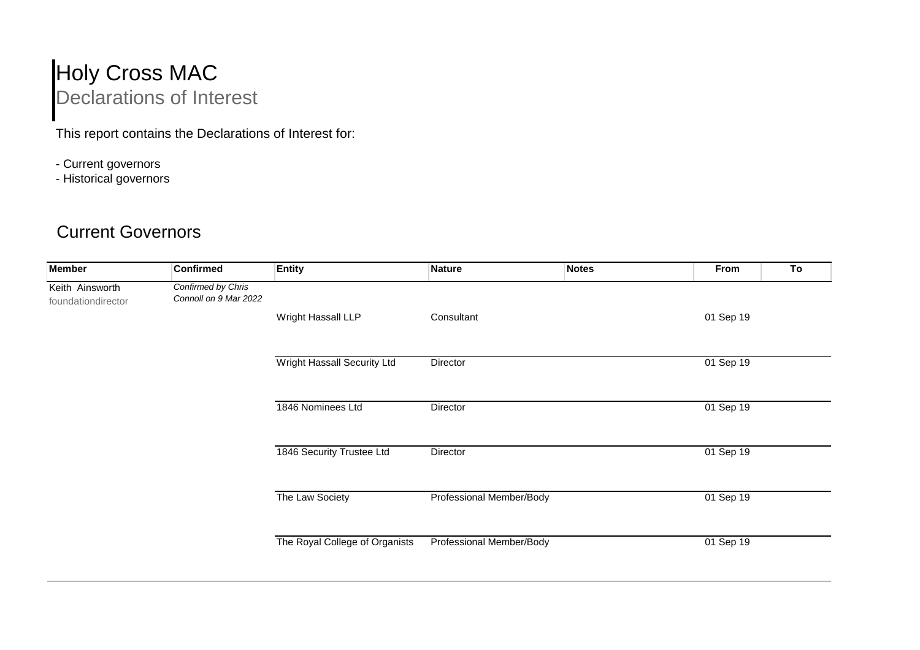## Holy Cross MAC Declarations of Interest

This report contains the Declarations of Interest for:

- Current governors
- Historical governors

## Current Governors

| <b>Member</b>                         | <b>Confirmed</b>                            | <b>Entity</b>                  | <b>Nature</b>            | <b>Notes</b> | From      | To |
|---------------------------------------|---------------------------------------------|--------------------------------|--------------------------|--------------|-----------|----|
| Keith Ainsworth<br>foundationdirector | Confirmed by Chris<br>Connoll on 9 Mar 2022 |                                |                          |              |           |    |
|                                       |                                             | Wright Hassall LLP             | Consultant               |              | 01 Sep 19 |    |
|                                       |                                             | Wright Hassall Security Ltd    | Director                 |              | 01 Sep 19 |    |
|                                       |                                             | 1846 Nominees Ltd              | Director                 |              | 01 Sep 19 |    |
|                                       |                                             | 1846 Security Trustee Ltd      | Director                 |              | 01 Sep 19 |    |
|                                       |                                             | The Law Society                | Professional Member/Body |              | 01 Sep 19 |    |
|                                       |                                             | The Royal College of Organists | Professional Member/Body |              | 01 Sep 19 |    |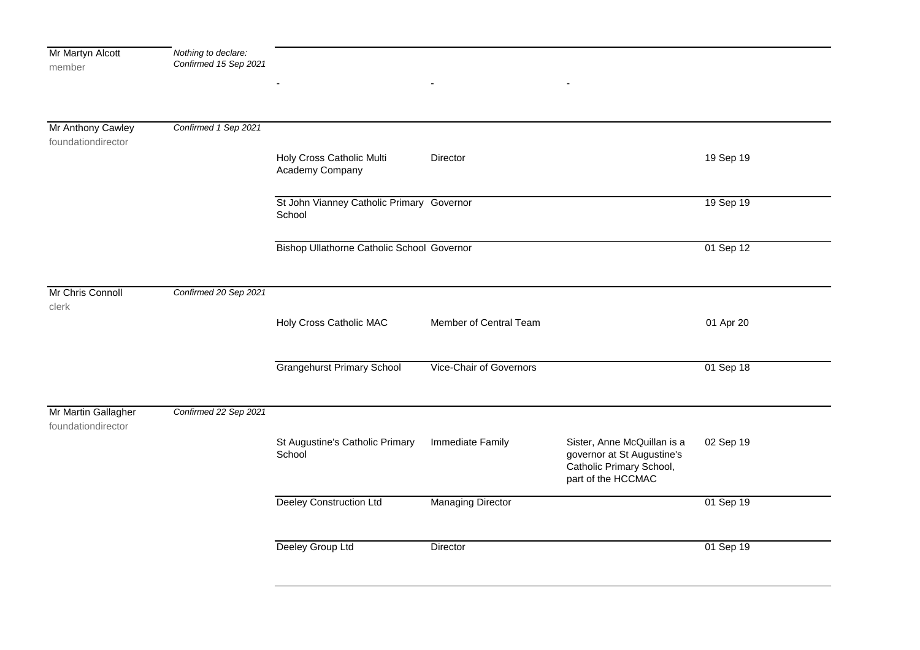| Mr Martyn Alcott<br>member                | Nothing to declare:<br>Confirmed 15 Sep 2021 |                                                     |                          |                                                                                                             |           |
|-------------------------------------------|----------------------------------------------|-----------------------------------------------------|--------------------------|-------------------------------------------------------------------------------------------------------------|-----------|
|                                           |                                              |                                                     |                          |                                                                                                             |           |
| Mr Anthony Cawley<br>foundationdirector   | Confirmed 1 Sep 2021                         |                                                     |                          |                                                                                                             |           |
|                                           |                                              | Holy Cross Catholic Multi<br>Academy Company        | Director                 |                                                                                                             | 19 Sep 19 |
|                                           |                                              | St John Vianney Catholic Primary Governor<br>School |                          |                                                                                                             | 19 Sep 19 |
|                                           |                                              | <b>Bishop Ullathorne Catholic School Governor</b>   |                          |                                                                                                             | 01 Sep 12 |
| Mr Chris Connoll<br>clerk                 | Confirmed 20 Sep 2021                        |                                                     |                          |                                                                                                             |           |
|                                           |                                              | Holy Cross Catholic MAC                             | Member of Central Team   |                                                                                                             | 01 Apr 20 |
|                                           |                                              | <b>Grangehurst Primary School</b>                   | Vice-Chair of Governors  |                                                                                                             | 01 Sep 18 |
| Mr Martin Gallagher<br>foundationdirector | Confirmed 22 Sep 2021                        |                                                     |                          |                                                                                                             |           |
|                                           |                                              | St Augustine's Catholic Primary<br>School           | Immediate Family         | Sister, Anne McQuillan is a<br>governor at St Augustine's<br>Catholic Primary School,<br>part of the HCCMAC | 02 Sep 19 |
|                                           |                                              | <b>Deeley Construction Ltd</b>                      | <b>Managing Director</b> |                                                                                                             | 01 Sep 19 |
|                                           |                                              | Deeley Group Ltd                                    | Director                 |                                                                                                             | 01 Sep 19 |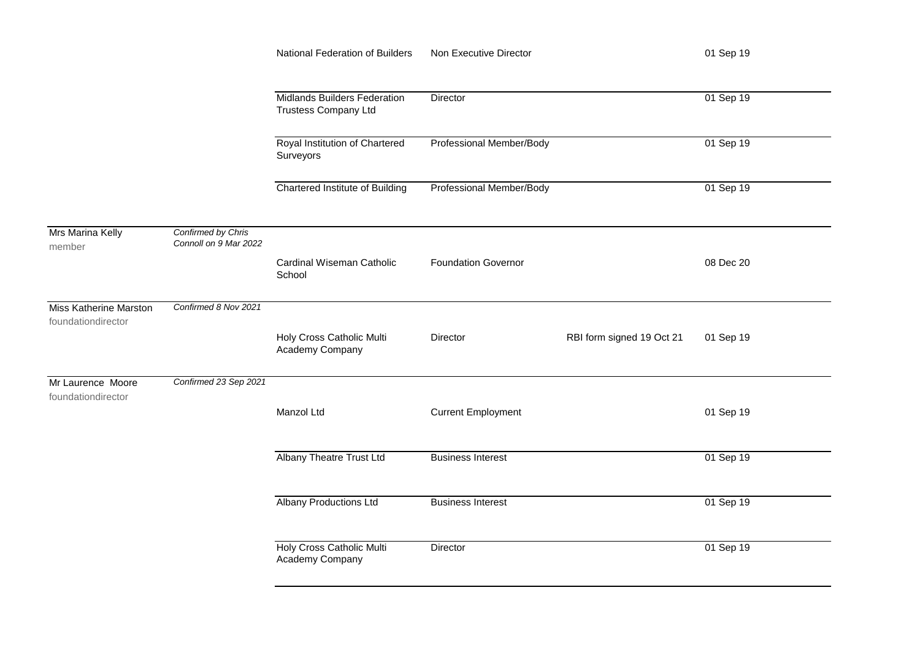|                                                     |                                             | National Federation of Builders                                    | Non Executive Director     |                           | 01 Sep 19 |
|-----------------------------------------------------|---------------------------------------------|--------------------------------------------------------------------|----------------------------|---------------------------|-----------|
|                                                     |                                             | <b>Midlands Builders Federation</b><br><b>Trustess Company Ltd</b> | Director                   |                           | 01 Sep 19 |
|                                                     |                                             | Royal Institution of Chartered<br>Surveyors                        | Professional Member/Body   |                           | 01 Sep 19 |
|                                                     |                                             | Chartered Institute of Building                                    | Professional Member/Body   |                           | 01 Sep 19 |
| Mrs Marina Kelly<br>member                          | Confirmed by Chris<br>Connoll on 9 Mar 2022 |                                                                    |                            |                           |           |
|                                                     |                                             | Cardinal Wiseman Catholic<br>School                                | <b>Foundation Governor</b> |                           | 08 Dec 20 |
| <b>Miss Katherine Marston</b><br>foundationdirector | Confirmed 8 Nov 2021                        | Holy Cross Catholic Multi<br>Academy Company                       | <b>Director</b>            | RBI form signed 19 Oct 21 | 01 Sep 19 |
| Mr Laurence Moore<br>foundationdirector             | Confirmed 23 Sep 2021                       |                                                                    |                            |                           |           |
|                                                     |                                             | Manzol Ltd                                                         | <b>Current Employment</b>  |                           | 01 Sep 19 |
|                                                     |                                             | <b>Albany Theatre Trust Ltd</b>                                    | <b>Business Interest</b>   |                           | 01 Sep 19 |
|                                                     |                                             | <b>Albany Productions Ltd</b>                                      | <b>Business Interest</b>   |                           | 01 Sep 19 |
|                                                     |                                             | Holy Cross Catholic Multi<br>Academy Company                       | Director                   |                           | 01 Sep 19 |